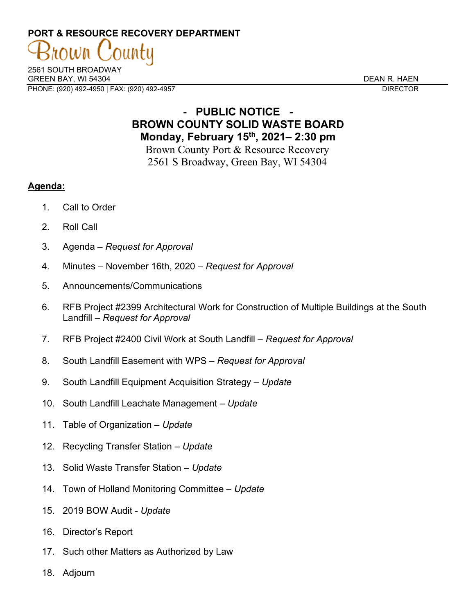# **PORT & RESOURCE RECOVERY DEPARTMENT**

2561 SOUTH BROADWAY GREEN BAY. WI 54304 DEAN R. HAEN PHONE: (920) 492-4950 | FAX: (920) 492-4957 DIRECTOR

### **- PUBLIC NOTICE - BROWN COUNTY SOLID WASTE BOARD Monday, February 15th, 2021– 2:30 pm**

Brown County Port & Resource Recovery 2561 S Broadway, Green Bay, WI 54304

### **Agenda:**

- 1. Call to Order
- 2. Roll Call
- 3. Agenda *Request for Approval*
- 4. Minutes November 16th, 2020 *Request for Approval*
- 5. Announcements/Communications
- 6. RFB Project #2399 Architectural Work for Construction of Multiple Buildings at the South Landfill – *Request for Approval*
- 7. RFB Project #2400 Civil Work at South Landfill *Request for Approval*
- 8. South Landfill Easement with WPS *Request for Approval*
- 9. South Landfill Equipment Acquisition Strategy *Update*
- 10. South Landfill Leachate Management *Update*
- 11. Table of Organization *Update*
- 12. Recycling Transfer Station *Update*
- 13. Solid Waste Transfer Station *Update*
- 14. Town of Holland Monitoring Committee *Update*
- 15. 2019 BOW Audit *Update*
- 16. Director's Report
- 17. Such other Matters as Authorized by Law
- 18. Adjourn